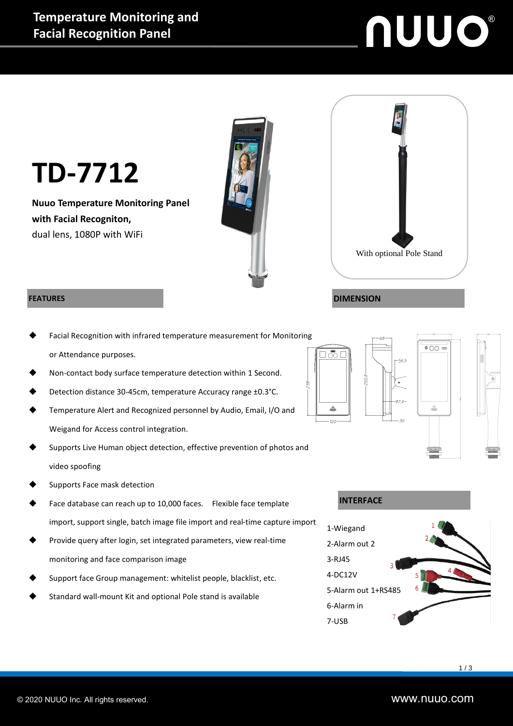# **NUUO®**



#### **FEATURES**

- Facial Recognition with infrared temperature measurement for Monitoring or Attendance purposes.
- Non-contact body surface temperature detection within 1 Second.
- Detection distance 30-45cm, temperature Accuracy range ±0.3°C.
- Temperature Alert and Recognized personnel by Audio, Email, I/O and Weigand for Access control integration.
- Supports Live Human object detection, effective prevention of photos and video spoofing
- Supports Face mask detection
- Face database can reach up to 10,000 faces. Flexible face template import, support single, batch image file import and real-time capture import
- Provide query after login, set integrated parameters, view real-time monitoring and face comparison image
- Support face Group management: whitelist people, blacklist, etc.
- Standard wall-mount Kit and optional Pole stand is available







#### **INTERFACE**

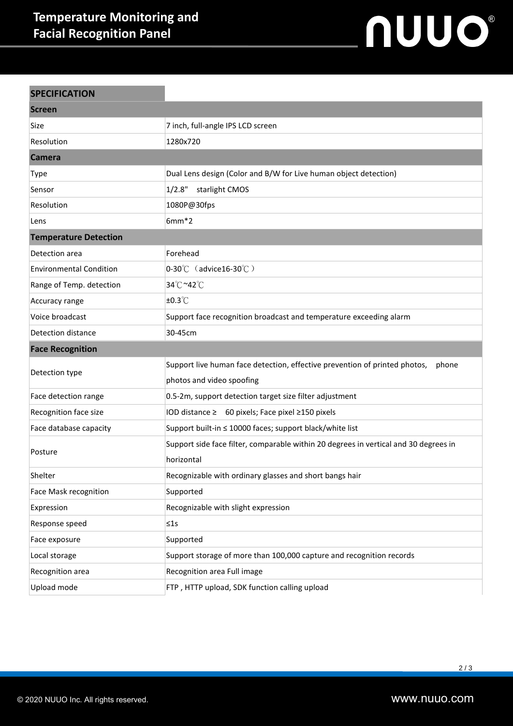### **Temperature Monitoring and Facial Recognition Panel**

## nuuo®

| <b>SPECIFICATION</b>           |                                                                                      |
|--------------------------------|--------------------------------------------------------------------------------------|
| <b>Screen</b>                  |                                                                                      |
| Size                           | 7 inch, full-angle IPS LCD screen                                                    |
| Resolution                     | 1280x720                                                                             |
| <b>Camera</b>                  |                                                                                      |
| <b>Type</b>                    | Dual Lens design (Color and B/W for Live human object detection)                     |
| Sensor                         | 1/2.8"<br>starlight CMOS                                                             |
| Resolution                     | 1080P@30fps                                                                          |
| Lens                           | $6mm*2$                                                                              |
| <b>Temperature Detection</b>   |                                                                                      |
| Detection area                 | Forehead                                                                             |
| <b>Environmental Condition</b> | $0-30^{\circ}$ C (advice16-30 $^{\circ}$ C)                                          |
| Range of Temp. detection       | 34°C~42°C                                                                            |
| Accuracy range                 | $±0.3^{\circ}$ C                                                                     |
| Voice broadcast                | Support face recognition broadcast and temperature exceeding alarm                   |
| Detection distance             | 30-45cm                                                                              |
|                                |                                                                                      |
| <b>Face Recognition</b>        |                                                                                      |
|                                | Support live human face detection, effective prevention of printed photos,<br>phone  |
| Detection type                 | photos and video spoofing                                                            |
| Face detection range           | 0.5-2m, support detection target size filter adjustment                              |
| Recognition face size          | IOD distance ≥ 60 pixels; Face pixel ≥150 pixels                                     |
| Face database capacity         | Support built-in ≤ 10000 faces; support black/white list                             |
|                                | Support side face filter, comparable within 20 degrees in vertical and 30 degrees in |
| Posture                        | horizontal                                                                           |
| Shelter                        | Recognizable with ordinary glasses and short bangs hair                              |
| Face Mask recognition          | Supported                                                                            |
| Expression                     | Recognizable with slight expression                                                  |
| Response speed                 | $\leq 1s$                                                                            |
| Face exposure                  | Supported                                                                            |
| Local storage                  | Support storage of more than 100,000 capture and recognition records                 |
| Recognition area               | Recognition area Full image                                                          |